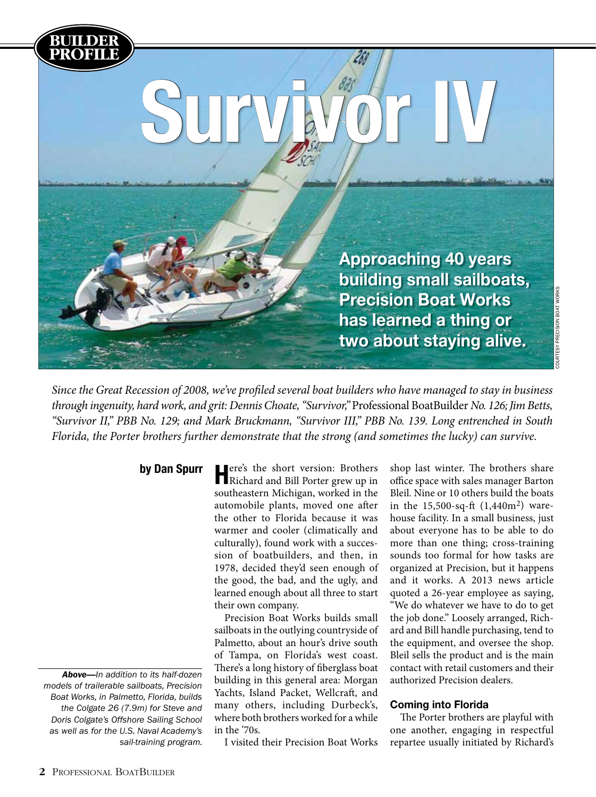

Courtesy Precision Boat Works

COURTESY PRECISION BOAT WORKS

*Since the Great Recession of 2008, we've profiled several boat builders who have managed to stay in business through ingenuity, hard work, and grit: Dennis Choate, "Survivor,"* Professional BoatBuilder *No. 126; Jim Betts, "Survivor II," PBB No. 129; and Mark Bruckmann, "Survivor III," PBB No. 139. Long entrenched in South Florida, the Porter brothers further demonstrate that the strong (and sometimes the lucky) can survive.*

by Dan Spurr

**BUILDER**

*Above—In addition to its half-dozen models of trailerable sailboats, Precision Boat Works, in Palmetto, Florida, builds the Colgate 26 (7.9m) for Steve and Doris Colgate's Offshore Sailing School as well as for the U.S. Naval Academy's sail-training program.*

Here's the short version: Brothers Richard and Bill Porter grew up in southeastern Michigan, worked in the automobile plants, moved one after the other to Florida because it was warmer and cooler (climatically and culturally), found work with a succession of boatbuilders, and then, in 1978, decided they'd seen enough of the good, the bad, and the ugly, and learned enough about all three to start their own company.

Precision Boat Works builds small sailboats in the outlying countryside of Palmetto, about an hour's drive south of Tampa, on Florida's west coast. There's a long history of fiberglass boat building in this general area: Morgan Yachts, Island Packet, Wellcraft, and many others, including Durbeck's, where both brothers worked for a while in the '70s.

I visited their Precision Boat Works

shop last winter. The brothers share office space with sales manager Barton Bleil. Nine or 10 others build the boats in the 15,500-sq-ft (1,440m2) warehouse facility. In a small business, just about everyone has to be able to do more than one thing; cross-training sounds too formal for how tasks are organized at Precision, but it happens and it works. A 2013 news article quoted a 26-year employee as saying, "We do whatever we have to do to get the job done." Loosely arranged, Richard and Bill handle purchasing, tend to the equipment, and oversee the shop. Bleil sells the product and is the main contact with retail customers and their authorized Precision dealers.

# Coming into Florida

The Porter brothers are playful with one another, engaging in respectful repartee usually initiated by Richard's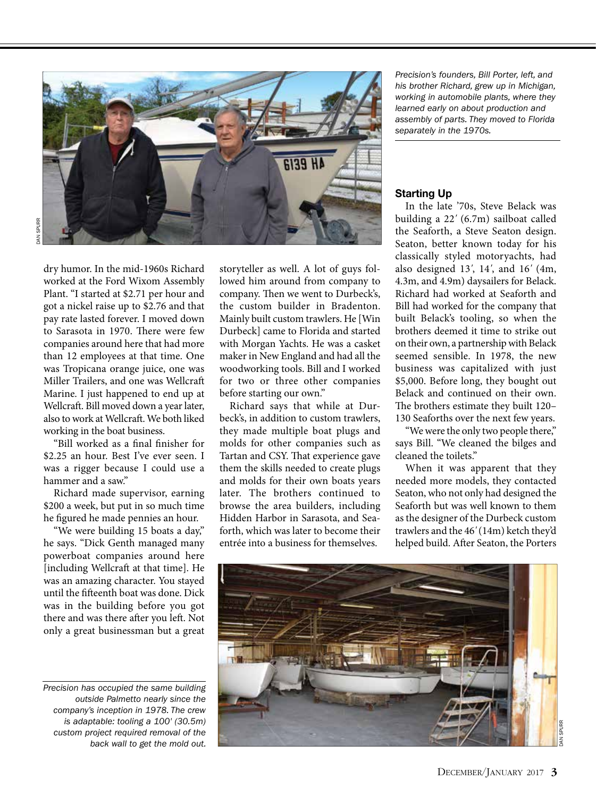

dry humor. In the mid-1960s Richard worked at the Ford Wixom Assembly Plant. "I started at \$2.71 per hour and got a nickel raise up to \$2.76 and that pay rate lasted forever. I moved down to Sarasota in 1970. There were few companies around here that had more than 12 employees at that time. One was Tropicana orange juice, one was Miller Trailers, and one was Wellcraft Marine. I just happened to end up at Wellcraft. Bill moved down a year later, also to work at Wellcraft. We both liked working in the boat business.

"Bill worked as a final finisher for \$2.25 an hour. Best I've ever seen. I was a rigger because I could use a hammer and a saw."

Richard made supervisor, earning \$200 a week, but put in so much time he figured he made pennies an hour.

"We were building 15 boats a day," he says. "Dick Genth managed many powerboat companies around here [including Wellcraft at that time]. He was an amazing character. You stayed until the fifteenth boat was done. Dick was in the building before you got there and was there after you left. Not only a great businessman but a great

*Precision has occupied the same building outside Palmetto nearly since the company's inception in 1978. The crew is adaptable: tooling a 100' (30.5m) custom project required removal of the back wall to get the mold out.*

storyteller as well. A lot of guys followed him around from company to company. Then we went to Durbeck's, the custom builder in Bradenton. Mainly built custom trawlers. He [Win Durbeck] came to Florida and started with Morgan Yachts. He was a casket maker in New England and had all the woodworking tools. Bill and I worked for two or three other companies before starting our own."

Richard says that while at Durbeck's, in addition to custom trawlers, they made multiple boat plugs and molds for other companies such as Tartan and CSY. That experience gave them the skills needed to create plugs and molds for their own boats years later. The brothers continued to browse the area builders, including Hidden Harbor in Sarasota, and Seaforth, which was later to become their entrée into a business for themselves.

*Precision's founders, Bill Porter, left, and his brother Richard, grew up in Michigan, working in automobile plants, where they learned early on about production and assembly of parts. They moved to Florida separately in the 1970s.*

### Starting Up

In the late '70s, Steve Belack was building a 22*'* (6.7m) sailboat called the Seaforth, a Steve Seaton design. Seaton, better known today for his classically styled motoryachts, had also designed 13*'*, 14*'*, and 16*'* (4m, 4.3m, and 4.9m) daysailers for Belack. Richard had worked at Seaforth and Bill had worked for the company that built Belack's tooling, so when the brothers deemed it time to strike out on their own, a partnership with Belack seemed sensible. In 1978, the new business was capitalized with just \$5,000. Before long, they bought out Belack and continued on their own. The brothers estimate they built 120– 130 Seaforths over the next few years.

"We were the only two people there," says Bill. "We cleaned the bilges and cleaned the toilets."

When it was apparent that they needed more models, they contacted Seaton, who not only had designed the Seaforth but was well known to them as the designer of the Durbeck custom trawlers and the 46*'* (14m) ketch they'd helped build. After Seaton, the Porters

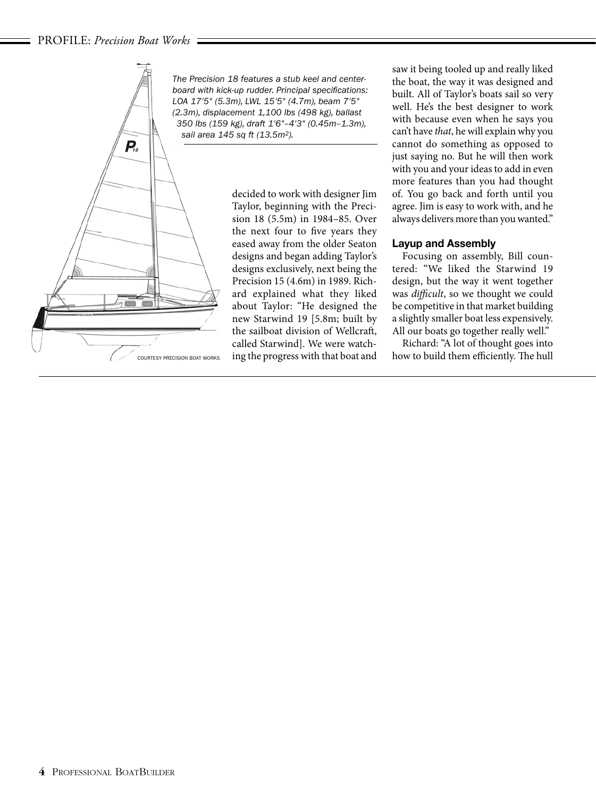### PROFILE: *Precision Boat Works*



*The Precision 18 features a stub keel and centerboard with kick-up rudder. Principal specifications: LOA 17'5" (5.3m), LWL 15'5" (4.7m), beam 7'5" (2.3m), displacement 1,100 lbs (498 kg), ballast 350 lbs (159 kg), draft 1'6"–4'3" (0.45m–1.3m), sail area 145 sq ft (13.5m2).*

decided to work with designer Jim Taylor, beginning with the Precision 18 (5.5m) in 1984–85. Over the next four to five years they eased away from the older Seaton designs and began adding Taylor's designs exclusively, next being the Precision 15 (4.6m) in 1989. Richard explained what they liked about Taylor: "He designed the new Starwind 19 [5.8m; built by the sailboat division of Wellcraft, called Starwind]. We were watch-Courtesy Precision Boat Works ing the progress with that boat and

saw it being tooled up and really liked the boat, the way it was designed and built. All of Taylor's boats sail so very well. He's the best designer to work with because even when he says you can't have *that*, he will explain why you cannot do something as opposed to just saying no. But he will then work with you and your ideas to add in even more features than you had thought of. You go back and forth until you agree. Jim is easy to work with, and he always delivers more than you wanted."

# Layup and Assembly

Focusing on assembly, Bill countered: "We liked the Starwind 19 design, but the way it went together was *difficult*, so we thought we could be competitive in that market building a slightly smaller boat less expensively. All our boats go together really well."

Richard: "A lot of thought goes into how to build them efficiently. The hull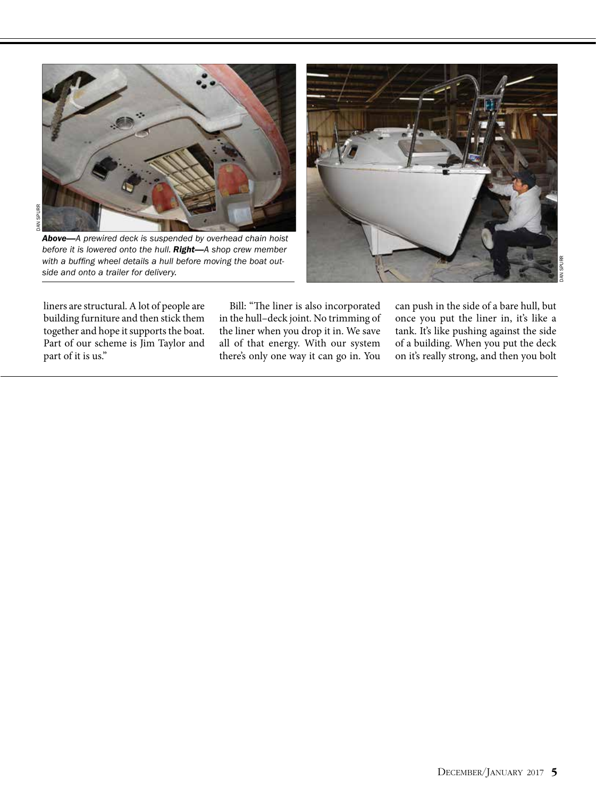

*Above—A prewired deck is suspended by overhead chain hoist before it is lowered onto the hull. Right—A shop crew member with a buffing wheel details a hull before moving the boat outside and onto a trailer for delivery.*



liners are structural. A lot of people are building furniture and then stick them together and hope it supports the boat. Part of our scheme is Jim Taylor and part of it is us."

Bill: "The liner is also incorporated in the hull–deck joint. No trimming of the liner when you drop it in. We save all of that energy. With our system there's only one way it can go in. You

can push in the side of a bare hull, but once you put the liner in, it's like a tank. It's like pushing against the side of a building. When you put the deck on it's really strong, and then you bolt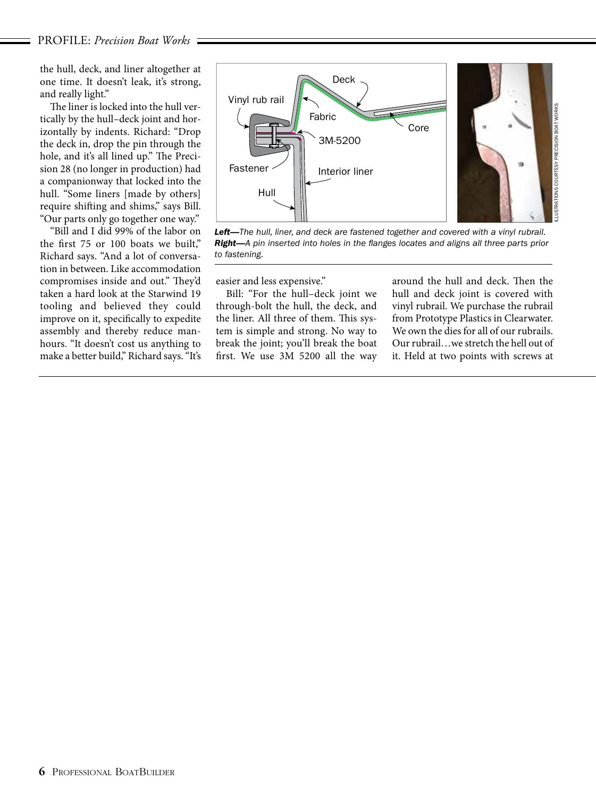the hull, deck, and liner altogether at one time. It doesn't leak, it's strong, and really light."

The liner is locked into the hull vertically by the hull–deck joint and horizontally by indents. Richard: "Drop the deck in, drop the pin through the hole, and it's all lined up." The Precision 28 (no longer in production) had a companionway that locked into the hull. "Some liners [made by others] require shifting and shims," says Bill. "Our parts only go together one way."

"Bill and I did 99% of the labor on the first 75 or 100 boats we built," Richard says. "And a lot of conversation in between. Like accommodation compromises inside and out." They'd taken a hard look at the Starwind 19 tooling and believed they could improve on it, specifically to expedite assembly and thereby reduce manhours. "It doesn't cost us anything to make a better build," Richard says. "It's



*Left—The hull, liner, and deck are fastened together and covered with a vinyl rubrail. Right—A pin inserted into holes in the flanges locates and aligns all three parts prior to fastening.*

easier and less expensive."

Bill: "For the hull–deck joint we through-bolt the hull, the deck, and the liner. All three of them. This system is simple and strong. No way to break the joint; you'll break the boat first. We use 3M 5200 all the way

around the hull and deck. Then the hull and deck joint is covered with vinyl rubrail. We purchase the rubrail from Prototype Plastics in Clearwater. We own the dies for all of our rubrails. Our rubrail…we stretch the hell out of it. Held at two points with screws at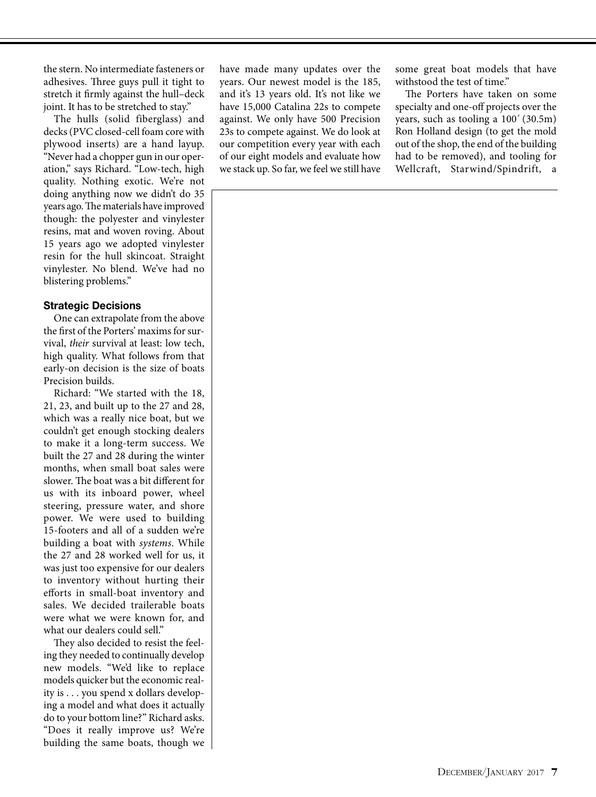the stern. No intermediate fasteners or adhesives. Three guys pull it tight to stretch it firmly against the hull–deck joint. It has to be stretched to stay."

The hulls (solid fiberglass) and decks (PVC closed-cell foam core with plywood inserts) are a hand layup. "Never had a chopper gun in our operation," says Richard. "Low-tech, high quality. Nothing exotic. We're not doing anything now we didn't do 35 years ago. The materials have improved though: the polyester and vinylester resins, mat and woven roving. About 15 years ago we adopted vinylester resin for the hull skincoat. Straight vinylester. No blend. We've had no blistering problems."

### Strategic Decisions

One can extrapolate from the above the first of the Porters' maxims for survival, *their* survival at least: low tech, high quality. What follows from that early-on decision is the size of boats Precision builds.

Richard: "We started with the 18, 21, 23, and built up to the 27 and 28, which was a really nice boat, but we couldn't get enough stocking dealers to make it a long-term success. We built the 27 and 28 during the winter months, when small boat sales were slower. The boat was a bit different for us with its inboard power, wheel steering, pressure water, and shore power. We were used to building 15-footers and all of a sudden we're building a boat with *systems*. While the 27 and 28 worked well for us, it was just too expensive for our dealers to inventory without hurting their efforts in small-boat inventory and sales. We decided trailerable boats were what we were known for, and what our dealers could sell."

They also decided to resist the feeling they needed to continually develop new models. "We'd like to replace models quicker but the economic reality is . . . you spend x dollars developing a model and what does it actually do to your bottom line?" Richard asks. "Does it really improve us? We're building the same boats, though we have made many updates over the years. Our newest model is the 185, and it's 13 years old. It's not like we have 15,000 Catalina 22s to compete against. We only have 500 Precision 23s to compete against. We do look at our competition every year with each of our eight models and evaluate how we stack up. So far, we feel we still have

some great boat models that have withstood the test of time."

The Porters have taken on some specialty and one-off projects over the years, such as tooling a 100*'* (30.5m) Ron Holland design (to get the mold out of the shop, the end of the building had to be removed), and tooling for Wellcraft, Starwind/Spindrift, a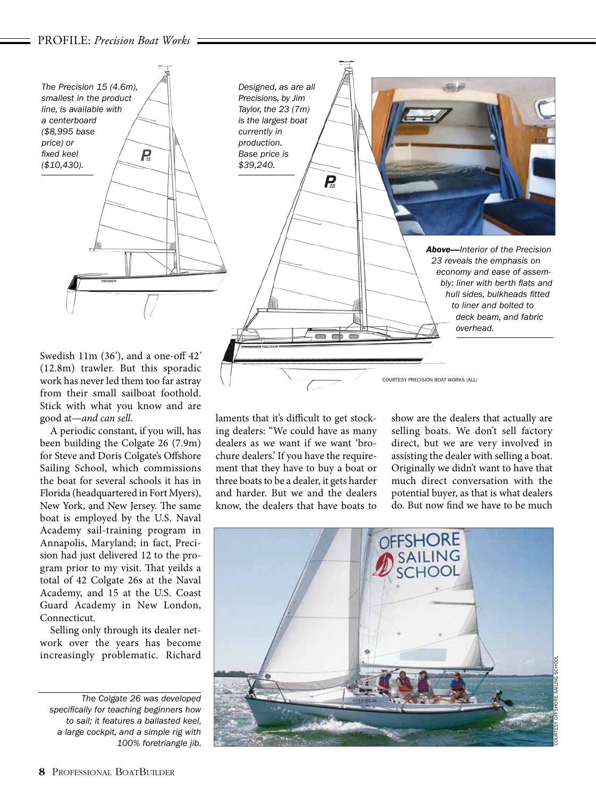

work has never led them too far astray from their small sailboat foothold. Stick with what you know and are good at—*and can sell*.

A periodic constant, if you will, has been building the Colgate 26 (7.9m) for Steve and Doris Colgate's Offshore Sailing School, which commissions the boat for several schools it has in Florida (headquartered in Fort Myers), New York, and New Jersey. The same boat is employed by the U.S. Naval Academy sail-training program in Annapolis, Maryland; in fact, Precision had just delivered 12 to the program prior to my visit. That yeilds a total of 42 Colgate 26s at the Naval Academy, and 15 at the U.S. Coast Guard Academy in New London, Connecticut.

Selling only through its dealer network over the years has become increasingly problematic. Richard

*The Colgate 26 was developed specifically for teaching beginners how to sail; it features a ballasted keel, a large cockpit, and a simple rig with 100% foretriangle jib.* laments that it's difficult to get stocking dealers: "We could have as many dealers as we want if we want 'brochure dealers.' If you have the requirement that they have to buy a boat or three boats to be a dealer, it gets harder and harder. But we and the dealers know, the dealers that have boats to

show are the dealers that actually are selling boats. We don't sell factory direct, but we are very involved in assisting the dealer with selling a boat. Originally we didn't want to have that much direct conversation with the potential buyer, as that is what dealers do. But now find we have to be much

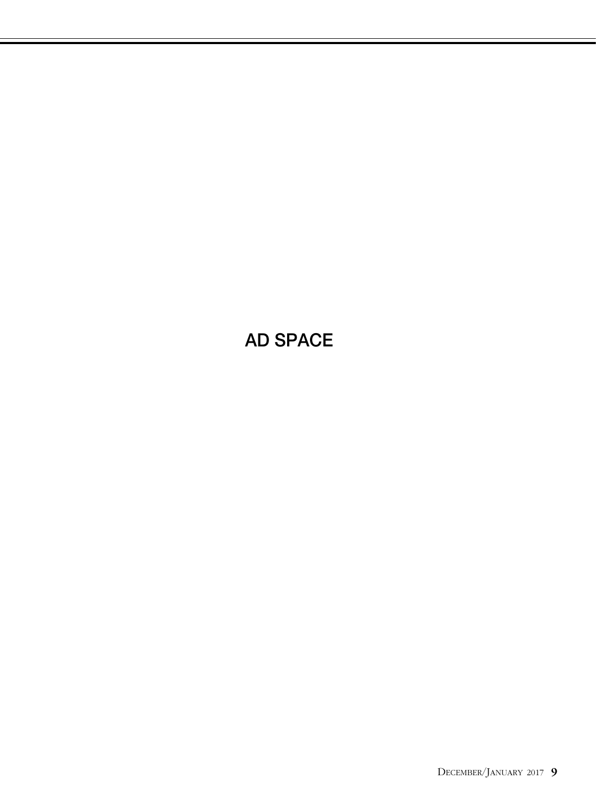# AD SPACE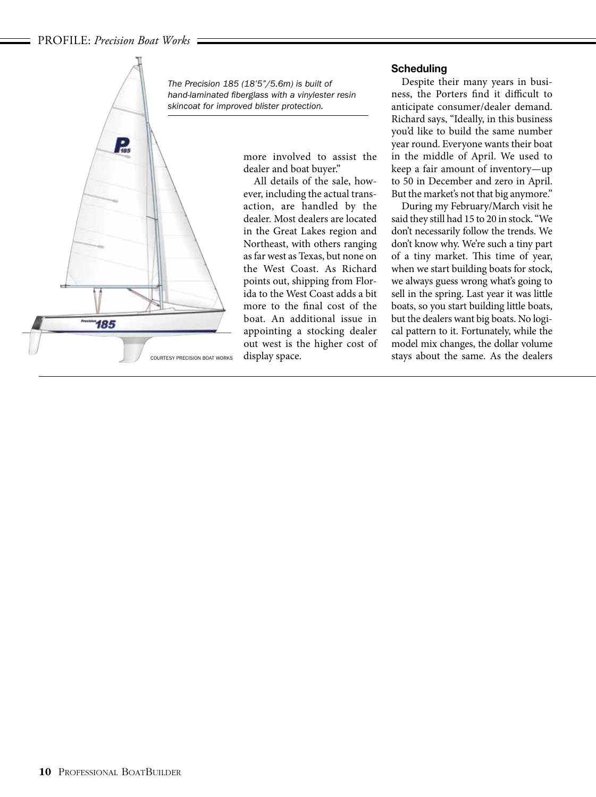

*The Precision 185 (18'5"/5.6m) is built of hand-laminated fiberglass with a vinylester resin skincoat for improved blister protection.*

> more involved to assist the dealer and boat buyer."

All details of the sale, however, including the actual transaction, are handled by the dealer. Most dealers are located in the Great Lakes region and Northeast, with others ranging as far west as Texas, but none on the West Coast. As Richard points out, shipping from Florida to the West Coast adds a bit more to the final cost of the boat. An additional issue in appointing a stocking dealer out west is the higher cost of display space.

# **Scheduling**

Despite their many years in business, the Porters find it difficult to anticipate consumer/dealer demand. Richard says, "Ideally, in this business you'd like to build the same number year round. Everyone wants their boat in the middle of April. We used to keep a fair amount of inventory—up to 50 in December and zero in April. But the market's not that big anymore."

During my February/March visit he said they still had 15 to 20 in stock. "We don't necessarily follow the trends. We don't know why. We're such a tiny part of a tiny market. This time of year, when we start building boats for stock, we always guess wrong what's going to sell in the spring. Last year it was little boats, so you start building little boats, but the dealers want big boats. No logical pattern to it. Fortunately, while the model mix changes, the dollar volume stays about the same. As the dealers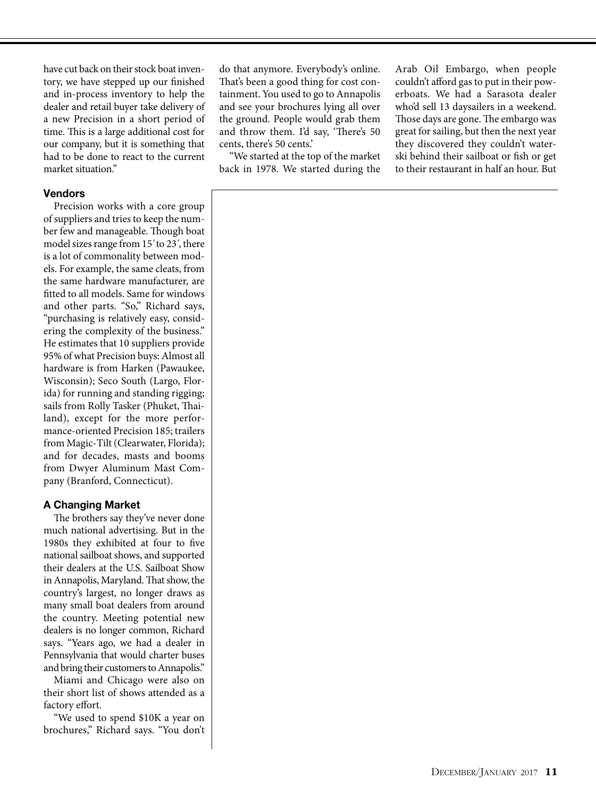have cut back on their stock boat inventory, we have stepped up our finished and in-process inventory to help the dealer and retail buyer take delivery of a new Precision in a short period of time. This is a large additional cost for our company, but it is something that had to be done to react to the current market situation."

## **Vendors**

Precision works with a core group of suppliers and tries to keep the number few and manageable. Though boat model sizes range from 15*'* to 23*'*, there is a lot of commonality between models. For example, the same cleats, from the same hardware manufacturer, are fitted to all models. Same for windows and other parts. "So," Richard says, "purchasing is relatively easy, considering the complexity of the business." He estimates that 10 suppliers provide 95% of what Precision buys: Almost all hardware is from Harken (Pawaukee, Wisconsin); Seco South (Largo, Florida) for running and standing rigging; sails from Rolly Tasker (Phuket, Thailand), except for the more performance-oriented Precision 185; trailers from Magic-Tilt (Clearwater, Florida); and for decades, masts and booms from Dwyer Aluminum Mast Company (Branford, Connecticut).

# A Changing Market

The brothers say they've never done much national advertising. But in the 1980s they exhibited at four to five national sailboat shows, and supported their dealers at the U.S. Sailboat Show in Annapolis, Maryland. That show, the country's largest, no longer draws as many small boat dealers from around the country. Meeting potential new dealers is no longer common, Richard says. "Years ago, we had a dealer in Pennsylvania that would charter buses and bring their customers to Annapolis."

Miami and Chicago were also on their short list of shows attended as a factory effort.

"We used to spend \$10K a year on brochures," Richard says. "You don't

do that anymore. Everybody's online. That's been a good thing for cost containment. You used to go to Annapolis and see your brochures lying all over the ground. People would grab them and throw them. I'd say, 'There's 50 cents, there's 50 cents.'

"We started at the top of the market back in 1978. We started during the Arab Oil Embargo, when people couldn't afford gas to put in their powerboats. We had a Sarasota dealer who'd sell 13 daysailers in a weekend. Those days are gone. The embargo was great for sailing, but then the next year they discovered they couldn't waterski behind their sailboat or fish or get to their restaurant in half an hour. But